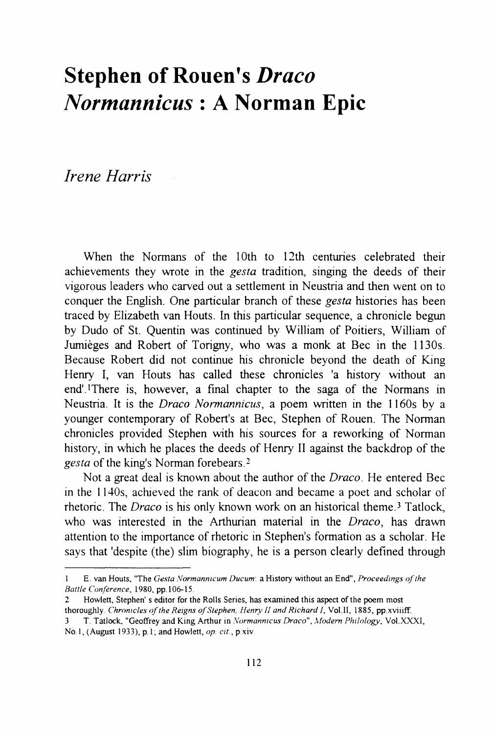## **Stephen of Rouen's Draco** *Normannicus* **: A Norman Epic**

*Irene Harris* 

When the Normans of the 10th to 12th centuries celebrated their achievements they wrote in the *gesta* tradition, singing the deeds of their vigorous leaders who carved out a settlement in Neustria and then went on to conquer the English. One particular branch of these *gesta* histories has been traced by Elizabeth van Houts. In this particular sequence, a chronicle begun by Dudo of St. Quentin was continued by William of Poitiers, William of Jumieges and Robert of Torigny, who was a monk at Bee in the 1130s. Because Robert did not continue his chronicle beyond the death of King Henry I, van Houts has called these chronicles 'a history without an end'lThere is, however, a final chapter to the saga of the Normans in Neustria. It is the *Draco Normannicus,* a poem written in the 1160s by a younger contemporary of Robert's at Bee, Stephen of Rouen. The Norman chronicles provided Stephen with his sources for a reworking of Norman history, in which he places the deeds of Henry II against the backdrop of the gesta of the king's Norman forebears.<sup>2</sup>

Not a great deal is known about the author of the *Draco.* He entered Bee in the 1140s, achieved the rank of deacon and became a poet and scholar of rhetoric. The *Draco* is his only known work on an historical theme<sup>3</sup> Tatlock, who was interested in the Arthurian material in the *Draco,* has drawn attention to the importance of rhetoric in Stephen's formation as a scholar. He says that 'despite (the) slim biography, he is a person clearly defined through

<sup>1</sup> E. van Houts, "The *Gesta Vormanmcum Ducum·* a History without an End", *Proceedings of the Battle Conference,* 1980, pp.106-15.

<sup>2</sup> Howlett, Stephen' s editor for the Rolls Series, has examined this aspect of the poem most thoroughly. *Chronicles of the Reigns of Stephen, Henry II and Richard I, Vol.II, 1885, pp.xviiiff.* 

<sup>3</sup> T. Tatlock. "Geoffrey and King Arthur in *.Vormanmcus Draco",* .~fodem *Phlioiogy,* Vol. XXXI, No.1, (August 1933), p.1; and Howlett, op. cit., p.xiv.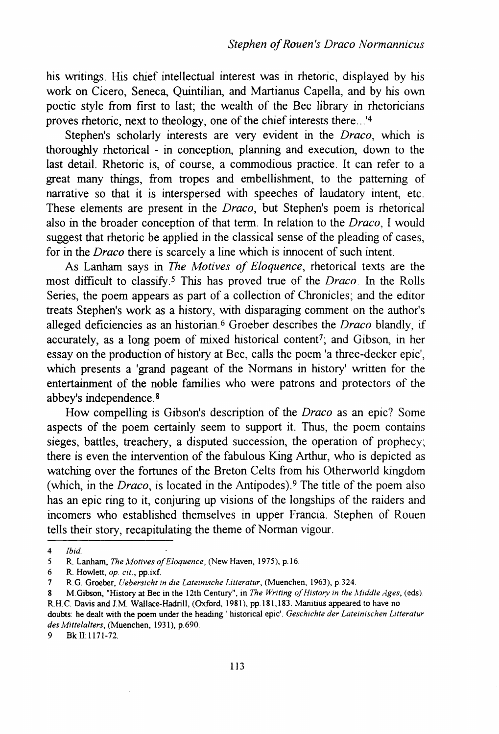his writings. His chief intellectual interest was in rhetoric, displayed by his work on Cicero, Seneca, Quintilian, and Martianus Capella, and by his own poetic style from first to last; the wealth of the Bee library in rhetoricians proves rhetoric, next to theology, one of the chief interests there ... '4

Stephen's scholarly interests are very evident in the *Draco,* which is thoroughly rhetorical - in conception, planning and execution, down to the last detail. Rhetoric is, of course, a commodious practice. It can refer to a great many things, from tropes and embellishment, to the patterning of narrative so that it is interspersed with speeches of laudatory intent, etc. These elements are present in the *Draco,* but Stephen's poem is rhetorical also in the broader conception of that term. In relation to the *Draco,* I would suggest that rhetoric be applied in the classical sense of the pleading of cases, for in the *Draco* there is scarcely a line which is innocent of such intent.

As Lanham says in *The Motives of Eloquence,* rhetorical texts are the most difficult to classify.5 This has proved true of the *Draco.* In the Rolls Series, the poem appears as part of a collection of Chronicles; and the editor treats Stephen's work as a history, with disparaging comment on the author's alleged deficiencies as an historian.6 Groeber describes the *Draco* blandly, if accurately, as a long poem of mixed historical content<sup>7</sup>; and Gibson, in her essay on the production of history at Bee, calls the poem 'a three-decker epic', which presents a 'grand pageant of the Normans in history' written for the entertainment of the noble families who were patrons and protectors of the abbey's independence. 8

How compelling is Gibson's description of the *Draco* as an epic? Some aspects of the poem certainly seem to support it. Thus, the poem contains sieges, battles, treachery, a disputed succession, the operation of prophecy; there is even the intervention of the fabulous King Arthur, who is depicted as watching over the fortunes of the Breton Celts from his Otherworld kingdom (which, in the *Draco,* is located in the Antipodes).9 The title of the poem also has an epic ring to it, conjuring up visions of the longships of the raiders and incomers who established themselves in upper Francia. Stephen of Rouen tells their story, recapitulating the theme of Norman vigour.

<sup>4</sup> *Ibid.* 

*<sup>5</sup>* R. Lanham, *The Motives of Eloquence,* (New Haven. 1975), p.l6.

<sup>6</sup> R. Howlett, *op. cit.,* pp. ixf.

<sup>7</sup> R.G. Graeber, *Uebersicht in die Lateinische Litteratur,* (Muenchen, 1963), p.324.

<sup>8</sup> M.Gibson, "History at Bec in the 12th Century", in *The Writing of History in the Middle Ages*, (eds).<br>R.H.C. Davis and J.M. Wallace-Hadrill, (Oxford, 1981), pp.181,183. Manitius appeared to have no doubts: he dealt with the poem under the heading' historical epic'. *Geschichte der Lateinischen Litteratur* 

*des Mittelalters,* (Muenchen, 1931), p.690.

<sup>9</sup> Bkll:1171-72.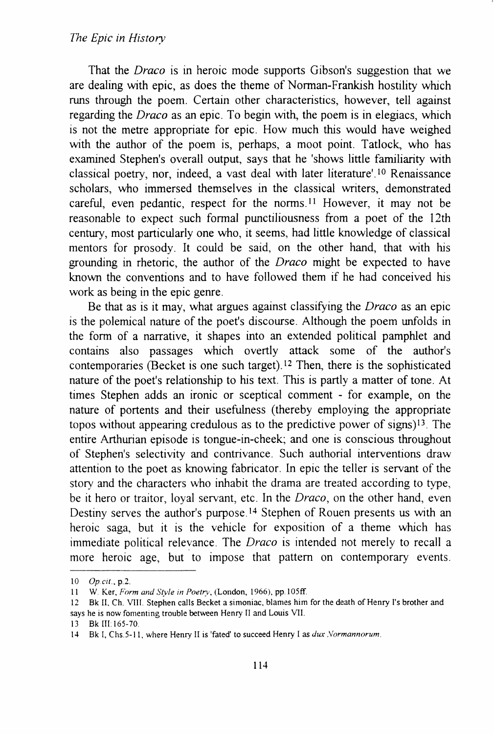## *The Epic* in *History*

That the *Draco* is in heroic mode supports Gibson's suggestion that we are dealing with epic, as does the theme of Norman-Frankish hostility which runs through the poem. Certain other characteristics, however, tell against regarding the *Draco* as an epic. To begin with, the poem is in elegiacs, which is not the metre appropriate for epic. How much this would have weighed with the author of the poem is, perhaps, a moot point. Tatlock, who has examined Stephen's overall output, says that he 'shows little familiarity with classical poetry, nor, indeed, a vast deal with later literature'.<sup>10</sup> Renaissance scholars, who immersed themselves in the classical writers, demonstrated careful, even pedantic, respect for the norms.ll However, it may not be reasonable to expect such formal punctiliousness from a poet of the 12th century, most particularly one who, it seems, had little knowledge of classical mentors for prosody. It could be said, on the other hand, that with his grounding in rhetoric, the author of the *Draco* might be expected to have known the conventions and to have followed them if he had conceived his work as being in the epic genre.

Be that as is it may, what argues against classifying the *Draco* as an epic is the polemical nature of the poet's discourse. Although the poem unfolds in the form of a narrative, it shapes into an extended political pamphlet and contains also passages which overtly attack some of the author's contemporaries (Becket is one such target).<sup>12</sup> Then, there is the sophisticated nature of the poet's relationship to his text. This is partly a matter of tone. At times Stephen adds an ironic or sceptical comment - for example, on the nature of portents and their usefulness (thereby employing the appropriate topos without appearing credulous as to the predictive power of signs)l3 The entire Arthurian episode is tongue-in-cheek; and one is conscious throughout of Stephen's selectivity and contrivance. Such authorial interventions draw attention to the poet as knowing fabricator. In epic the teller is servant of the story and the characters who inhabit the drama are treated according to type, be it hero or traitor, loyal servant, etc. In the *Draco,* on the other hand, even Destiny serves the author's purpose.<sup>14</sup> Stephen of Rouen presents us with an heroic saga, but it is the vehicle for exposition of a theme which has immediate political relevance. The *Draco* is intended not merely to recall a more heroic age, but to impose that pattern on contemporary events.

<sup>10</sup> *Op.cit.*, p.2.

<sup>11</sup> W. Ker, *Form and Style in Poetry*, (London, 1966), pp.105ff.

<sup>12</sup> Bk ll. Ch. Vlll. Stephen calls Becket a simoniac, blames him for the death of Henry l's brother and says he is now fomenting trouble between Henry [l and Louis Vll.

<sup>13</sup> Bk III:165-70.

<sup>14</sup> Bk I, Chs.5-11, where Henry II is 'fated' to succeed Henry I as *dux .Normannorum.*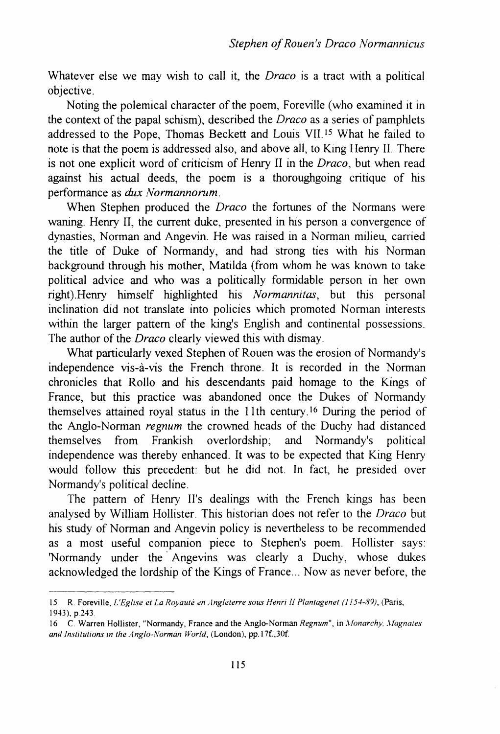Whatever else we may wish to call it, the *Draco* is a tract with a political objective.

Noting the polemical character of the poem, Foreville (who examined it in the context of the papal schism), described the *Draco* as a series of pamphlets addressed to the Pope, Thomas Beckett and Louis VII.I5 What he failed to note is that the poem is addressed also, and above all, to King Henry II. There is not one explicit word of criticism of Henry II in the *Draco,* but when read against his actual deeds, the poem is a thoroughgoing critique of his performance as *dux Normannorum.* 

When Stephen produced the *Draco* the fortunes of the Normans were waning. Henry II, the current duke, presented in his person a convergence of dynasties, Norman and Angevin. He was raised in a Norman milieu, carried the title of Duke of Normandy, and had strong ties with his Norman background through his mother, Matilda (from whom he was known to take political advice and who was a politically formidable person in her own right).Henry himself highlighted his *Normannitas,* but this personal inclination did not translate into policies which promoted Norman interests within the larger pattern of the king's English and continental possessions. The author of the *Draco* clearly viewed this with dismay.

What particularly vexed Stephen of Rouen was the erosion of Normandy's independence vis-a-vis the French throne. It is recorded in the Norman chronicles that Rollo and his descendants paid homage to the Kings of France, but this practice was abandoned once the Dukes of Normandy themselves attained royal status in the 11th century.<sup>16</sup> During the period of the Anglo-Norman *regnum* the crowned heads of the Duchy had distanced themselves from Frankish overlordship; and Normandy's political independence was thereby enhanced. It was to be expected that King Henry would follow this precedent: but he did not. In fact, he presided over Normandy's political decline.

The pattern of Henry II's dealings with the French kings has been analysed by William Hollister. This historian does not refer to the *Draco* but his study of Norman and Angevin policy is nevertheless to be recommended as a most useful companion piece to Stephen's poem. Hollister says: 'Normandy under the· Angevins was clearly a Duchy, whose dukes acknowledged the lordship of the Kings of France ... Now as never before, the

<sup>15</sup> R. Foreville, *L'Eglise et La Royauté en Angleterre sous Henri II Plantagenet (1154-89)*, (Paris, !943), p.243.

<sup>16</sup> C. Warren Hollister, "Normandy, France and the Anglo-Norman *Regnum"*, in *Monarchy, Magnates* and Institutions in the Anglo-Norman World, (London), pp.17f.,30f.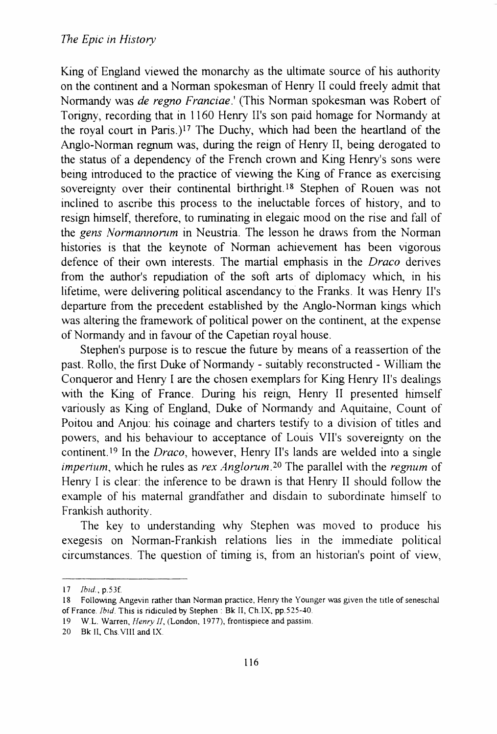King of England viewed the monarchy as the ultimate source of his authority on the continent and a Norman spokesman of Henry II could freely admit that Normandy was *de regno Franciae.'* (This Norman spokesman was Robert of Torigny, recording that in 1160 Henry II's son paid homage for Normandy at the royal court in Paris.)l7 The Duchy, which had been the heartland of the Anglo-Norman regnum was, during the reign of Henry II, being derogated to the status of a dependency of the French crown and King Henry's sons were being introduced to the practice of viewing the King of France as exercising sovereignty over their continental birthright.<sup>18</sup> Stephen of Rouen was not inclined to ascribe this process to the ineluctable forces of history, and to resign himself, therefore, to ruminating in elegaic mood on the rise and fall of the *gens Normannorom* in Neustria. The lesson he draws from the Norman histories is that the keynote of Norman achievement has been vigorous defence of their own interests. The martial emphasis in the *Draco* derives from the author's repudiation of the soft arts of diplomacy which, in his lifetime, were delivering political ascendancy to the Franks. It was Henry II's departure from the precedent established by the Anglo-Norman kings which was altering the framework of political power on the continent, at the expense of Normandy and in favour of the Capetian royal house.

Stephen's purpose is to rescue the future by means of a reassertion of the past. Rollo, the first Duke of Normandy- suitably reconstructed- William the Conqueror and Henry I are the chosen exemplars for King Henry II's dealings with the King of France. During his reign, Henry II presented himself variously as King of England, Duke of Normandy and Aquitaine, Count of Poitou and Anjou: his coinage and charters testify to a division of titles and powers, and his behaviour to acceptance of Louis VII's sovereignty on the continent.19 In the *Draco,* however, Henry II's lands are welded into a single *imperium, which he rules as rex Anglorum.*<sup>20</sup> The parallel with the *regnum* of Henry I is clear: the inference to be drawn is that Henry II should follow the example of his maternal grandfather and disdain to subordinate himself to Frankish authority.

The key to understanding why Stephen was moved to produce his exegesis on Norman-Frankish relations lies in the immediate political circumstances. The question of timing is, from an historian's point of view,

<sup>17</sup> *Ibid.,* p.53f.

<sup>18</sup> Following Angevin rather than Norman practice, Henry the Younger was given the title of seneschal of France. *Ibid.* This is ridiculed by Stephen · Bk II, Ch.IX, pp.525-40.

<sup>19</sup> W.L. Warren, *Henry II,* (London. 1977), frontispiece and passim.

<sup>20</sup> Bk II, Chs. VIII and IX.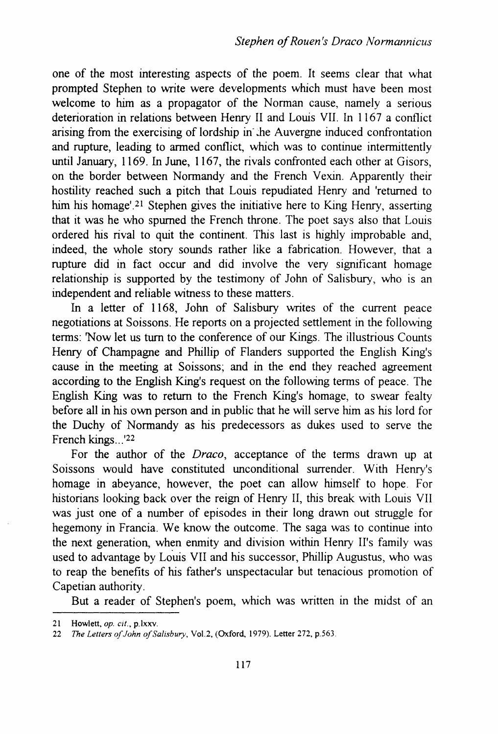one of the most interesting aspects of the poem. It seems clear that what prompted Stephen to write were developments which must have been most welcome to him as a propagator of the Norman cause, namely a serious deterioration in relations between Henry II and Louis VII. ln 1167 a conflict arising from the exercising of lordship in· .he Auvergne induced confrontation and rupture, leading to armed conflict, which was to continue intermittently until January, 1169. In June, 1167, the rivals confronted each other at Gisors, on the border between Normandy and the French Vexin. Apparently their hostility reached such a pitch that Louis repudiated Henry and 'returned to him his homage'.<sup>21</sup> Stephen gives the initiative here to King Henry, asserting that it was he who spurned the French throne. The poet says also that Louis ordered his rival to quit the continent. This last is highly improbable and, indeed, the whole story sounds rather like a fabrication. However, that a rupture did in fact occur and did involve the very significant homage relationship is supported by the testimony of John of Salisbury, who is an independent and reliable witness to these matters.

In a letter of 1168, John of Salisbury writes of the current peace negotiations at Soissons. He reports on a projected settlement in the following terms: 'Now let us tum to the conference of our Kings. The illustrious Counts Henry of Champagne and Phillip of Flanders supported the English King's cause in the meeting at Soissons; and in the end they reached agreement according to the English King's request on the following terms of peace. The English King was to return to the French King's homage, to swear fealty before all in his own person and in public that he will serve him as his lord for the Duchy of Normandy as his predecessors as dukes used to serve the French kings...<sup>'22</sup>

For the author of the *Draco,* acceptance of the terms drawn up at Soissons would have constituted unconditional surrender. With Henry's homage in abeyance, however, the poet can allow himself to hope. For historians looking back over the reign of Henry II, this break with Louis VII was just one of a number of episodes in their long drawn out struggle for hegemony in Francia. We know the outcome. The saga was to continue into the next generation, when enmity and division within Henry II's family was used to advantage by Louis VII and his successor, Phillip Augustus, who was to reap the benefits of his father's unspectacular but tenacious promotion of Capetian authority.

But a reader of Stephen's poem, which was written in the midst of an

<sup>21</sup> Howlett, *op. cit.,* p.lxxv.

<sup>22</sup> *The Letters of John of Salisbury, Vol.2, (Oxford, 1979). Letter 272, p.563.*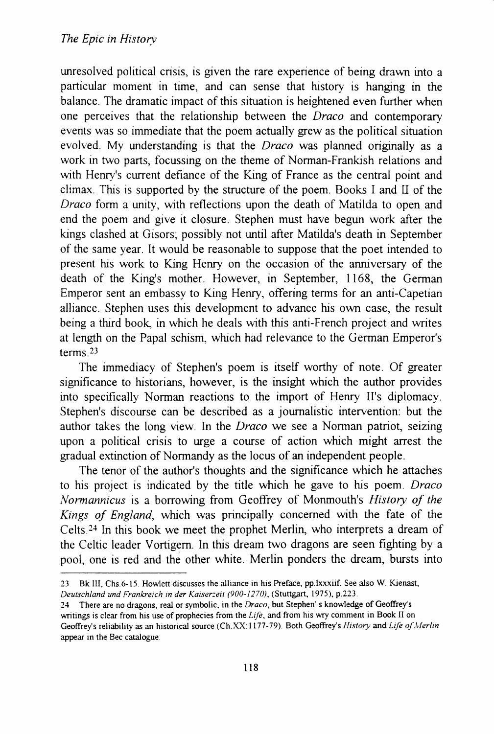unresolved political crisis, is given the rare experience of being drawn into a particular moment in time, and can sense that history is hanging in the balance. The dramatic impact of this situation is heightened even further when one perceives that the relationship between the *Draco* and contemporary events was so immediate that the poem actually grew as the political situation evolved. My understanding is that the *Draco* was planned originally as a work in two parts, focussing on the theme of Norman-Frankish relations and with Henry's current defiance of the King of France as the central point and climax. This is supported by the structure of the poem. Books I and U of the *Draco* form a unity, with reflections upon the death of Matilda to open and end the poem and give it closure. Stephen must have begun work after the kings clashed at Gisors; possibly not until after Matilda's death in September of the same year. It would be reasonable to suppose that the poet intended to present his work to King Henry on the occasion of the anniversary of the death of the King's mother. However, in September, 1168, the German Emperor sent an embassy to King Henry, offering terms for an anti-Capetian alliance. Stephen uses this development to advance his own case, the result being a third book, in which he deals with this anti-French project and writes at length on the Papal schism, which had relevance to the German Emperor's terms $23$ 

The immediacy of Stephen's poem is itself worthy of note. Of greater significance to historians, however, is the insight which the author provides into specifically Norman reactions to the import of Henry II's diplomacy. Stephen's discourse can be described as a journalistic intervention: but the author takes the long view 1n the *Draco* we see a Norman patriot, seizing upon a political crisis to urge a course of action which might arrest the gradual extinction of Normandy as the locus of an independent people.

The tenor of the author's thoughts and the significance which he attaches to his project is indicated by the title which he gave to his poem. *Draco Normannicus* is a borrowing from Geoffrey of Monmouth's *History of the Kings of England,* which was principally concerned with the fate of the Celts.<sup>24</sup> In this book we meet the prophet Merlin, who interprets a dream of the Celtic leader Vortigern. In this dream two dragons are seen fighting by a pool, one is red and the other white. Merlin ponders the dream, bursts into

<sup>23</sup> Bk III, Chs. 6-15. Howlett discusses the alliance in his Preface, pp.lxxxiif. See also W. Kienast, Deutschland und Frankreich in der Kaiserzeit (900-1270), (Stuttgart, 1975), p.223.

<sup>24</sup> There are no dragons, real or symbolic, in the *Draco,* but Stephen' s knowledge of Geoffrey's writings is clear from his use of prophecies from the *Life,* and from his wry comment in Book II on Geoffrey's reliability as an historical source (Ch.XX: 1177-79) Both Geoffrey's *History* and *Life of.\Ierlin*  appear in the Bee catalogue.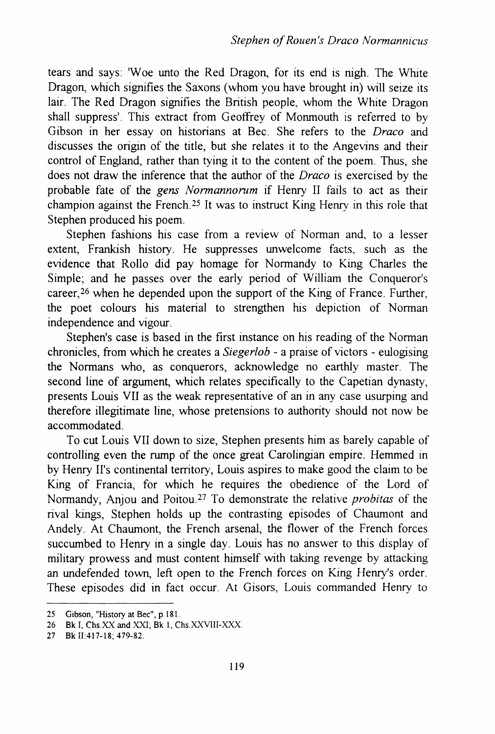tears and says: 'Woe unto the Red Dragon, for its end is nigh. The White Dragon, which signifies the Saxons (whom you have brought in) will seize its lair. The Red Dragon signifies the British people, whom the White Dragon shall suppress'. This extract from Geoffrey of Monmouth is referred to by Gibson in her essay on historians at Bee. She refers to the *Draco* and discusses the origin of the title, but she relates it to the Angevins and their control of England, rather than tying it to the content of the poem. Thus, she does not draw the inference that the author of the *Draco* is exercised by the probable fate of the *gens Normannorum* if Henry II fails to act as their champion against the French. 25 It was to instruct King Henry in this role that Stephen produced his poem.

Stephen fashions his case from a review of Norman and, to a lesser extent, Frankish history. He suppresses unwelcome facts, such as the evidence that Rollo did pay homage for Normandy to King Charles the Simple; and he passes over the early period of William the Conqueror's career,26 when he depended upon the support of the King of France. Further, the poet colours his material to strengthen his depiction of Norman independence and vigour.

Stephen's case is based in the first instance on his reading of the Norman chronicles, from which he creates a *Siegerlob* - a praise of victors - eulogising the Normans who, as conquerors, acknowledge no earthly master. The second line of argument, which relates specifically to the Capetian dynasty, presents Louis VII as the weak representative of an in any case usurping and therefore illegitimate line, whose pretensions to authority should not now be accommodated.

To cut Louis VII down to size, Stephen presents him as barely capable of controlling even the rump of the once great Carolingian empire. Hemmed in by Henry II's continental territory, Louis aspires to make good the claim to be King of Francia, for which he requires the obedience of the Lord of Normandy, Anjou and Poitou27 To demonstrate the relative *probitas* of the rival kings, Stephen holds up the contrasting episodes of Chaumont and Andely. At Chaumont, the French arsenal, the flower of the French forces succumbed to Henry in a single day. Louis has no answer to this display of military prowess and must content himself with taking revenge by attacking an undefended town, left open to the French forces on King Henry's order. These episodes did in fact occur. At Gisors, Louis commanded Henry to

<sup>25</sup> Gibson, "History at Bee", p.l8!.

<sup>26</sup> Bk I, Chs. XX and XXI; Bk 1, Chs. XXVIII-XXX.

<sup>27</sup> Bk ll:417-18; 479-82.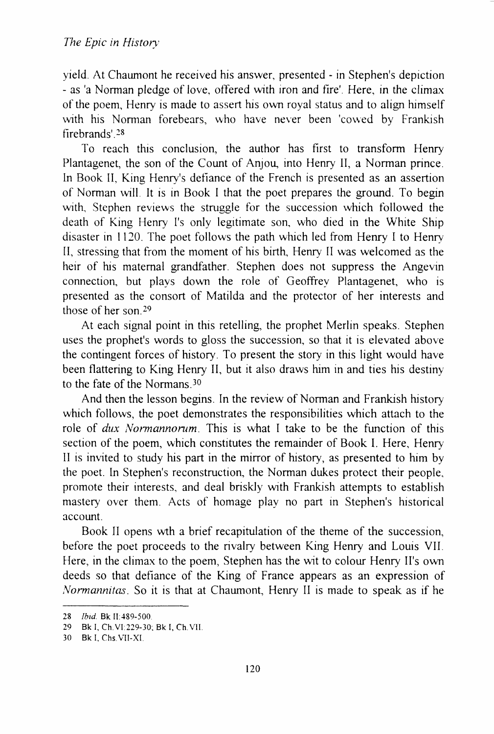yield At Chaumont he received his answer, presented - in Stephen's depiction - as 'a Norman pledge of love, offered with iron and fire'. Here, in the climax of the poem, Henry is made to assert his own royal status and to align himself with his Norman forebears, who have never been 'cowed by Frankish firebrands'. 28

To reach this conclusion, the author has first to transform Henry Plantagenet, the son of the Count of Anjou, into Henry ll, a Norman prince ln Book ll, King Henry's defiance of the French is presented as an assertion of Norman will It is in Book I that the poet prepares the ground. To begin with, Stephen reviews the struggle for the succession which followed the death of King Henry I's only legitimate son, who died in the White Ship disaster in 1120. The poet follows the path which led from Henry I to Henry ll, stressing that from the moment of his birth, Henry II was welcomed as the heir of his maternal grandfather. Stephen does not suppress the Angevin connection, but plays down the role of Geoffrey Plantagenet, who is presented as the consort of Matilda and the protector of her interests and those of her son.<sup>29</sup>

At each signal point in this retelling, the prophet Merlin speaks. Stephen uses the prophet's words to gloss the succession, so that it is elevated above the contingent forces of history. To present the story in this light would have been flattering to King Henry II, but it also draws him in and ties his destiny to the fate of the Normans.<sup>30</sup>

And then the lesson begins. In the review of Norman and Frankish history which follows, the poet demonstrates the responsibilities which attach to the role of *dux Normannorum*. This is what I take to be the function of this section of the poem, which constitutes the remainder of Book I. Here, Henry II is invited to study his part in the mirror of history, as presented to him by the poet. ln Stephen's reconstruction, the Norman dukes protect their people\_ promote their interests, and deal briskly with Frankish attempts to establish mastery over them. Acts of homage play no part in Stephen's historical account.

Book II opens wth a brief recapitulation of the theme of the succession, before the poet proceeds to the rivalry between King Henry and Lows VII. Here, in the climax to the poem, Stephen has the wit to colour Henry II's own deeds so that defiance of the King of France appears as an expression of *Normannitas.* So it is that at Chaumont, Henry II is made to speak as if he

<sup>28</sup> *Ibid.* Bk II:489-500.

<sup>29</sup> Bk I, Ch V1229-30, Bk I, Ch VII.

<sup>30</sup> Bk I, Chs.VII-XI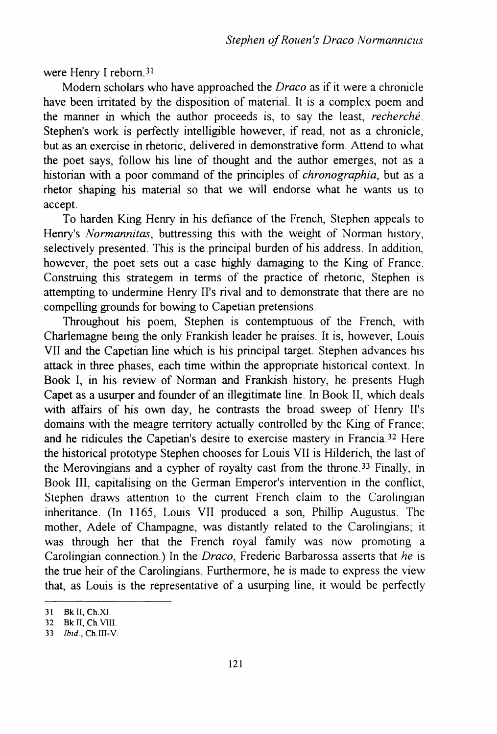were Henry I reborn.<sup>31</sup>

Modern scholars who have approached the *Draco* as if it were a chronicle have been irritated by the disposition of material. It is a complex poem and the manner in which the author proceeds is, to say the least, *recherche.*  Stephen's work is perfectly intelligible however, if read, not as a chronicle, but as an exercise in rhetoric, delivered in demonstrative form. Attend to what the poet says, follow his line of thought and the author emerges, not as a historian with a poor command of the principles of *chronographia,* but as a rhetor shaping his material so that we will endorse what he wants us to accept.

To harden King Henry in his defiance of the French, Stephen appeals to Henry's *Normannitas*, buttressing this with the weight of Norman history, selectively presented. This is the principal burden of his address. In addition, however, the poet sets out a case highly damaging to the King of France. Construing this strategem in terms of the practice of rhetoric, Stephen is attempting to undermine Henry II's rival and to demonstrate that there are no compelling grounds for bowing to Capetian pretensions.

Throughout his poem, Stephen is contemptuous of the French, with Charlemagne being the only Frankish leader he praises. It is, however, Louis VII and the Capetian line which is his principal target. Stephen advances his attack in three phases, each time within the appropriate historical context. In Book I, in his review of Norman and Frankish history, he presents Hugh Capet as a usurper and founder of an illegitimate line. In Book II, which deals with affairs of his own day, he contrasts the broad sweep of Henry II's domains with the meagre territory actually controlled by the King of France; and he ridicules the Capetian's desire to exercise mastery in Francia.32 Here the historical prototype Stephen chooses for Louis VII is Hilderich, the last of the Merovingians and a cypher of royalty cast from the throne.<sup>33</sup> Finally, in Book III, capitalising on the German Emperor's intervention in the conflict, Stephen draws attention to the current French claim to the Carolingian inheritance. (In 1165, Louis VII produced a son, Phillip Augustus. The mother, Adele of Champagne, was distantly related to the Carolingians; it was through her that the French royal family was now promoting a Carolingian connection.) In the *Draco,* Frederic Barbarossa asserts that *he* is the true heir of the Carolingians. Furthermore, he is made to express the view that, as Louis is the representative of a usurping line, it would be perfectly

<sup>31</sup> Bk II, Ch.XI.

<sup>32</sup> Bk II, Ch. VIII.

<sup>33</sup> *Ibid.,* Ch.III-V.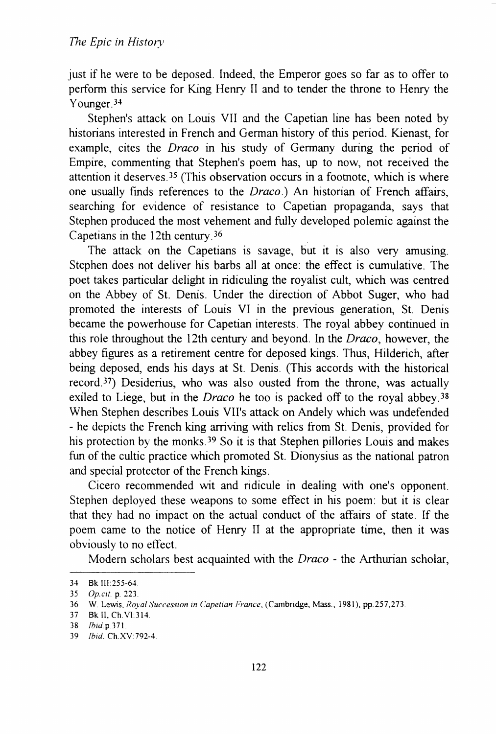just if he were to be deposed. Indeed, the Emperor goes so far as to offer to perform this service for King Henry ll and to tender the throne to Henry the Younger.<sup>34</sup>

Stephen's attack on Louis VII and the Capetian line has been noted by historians interested in French and German history of this period. Kienast, for example, cites the *Draco* in his study of Germany during the period of Empire, commenting that Stephen's poem has, up to now, not received the attention it deserves.<sup>35</sup> (This observation occurs in a footnote, which is where one usually finds references to the *Draco.)* An historian of French affairs, searching for evidence of resistance to Capetian propaganda, says that Stephen produced the most vehement and fully developed polemic against the Capetians in the 12th century  $36$ 

The attack on the Capetians is savage, but it is also very amusing. Stephen does not deliver his barbs all at once: the effect is cumulative. The poet takes particular delight in ridiculing the royalist cult, which was centred on the Abbey of St. Denis. Under the direction of Abbot Suger, who had promoted the interests of Louis VI in the previous generation, St. Denis became the powerhouse for Capetian interests. The royal abbey continued in this role throughout the 12th century and beyond. In the *Draco,* however, the abbey figures as a retirement centre for deposed kings. Thus, Hilderich, after being deposed, ends his days at St. Denis. (This accords with the historical record<sup>37</sup>) Desiderius, who was also ousted from the throne, was actually exiled to Liege, but in the *Draco* he too is packed off to the royal abbey.<sup>38</sup> When Stephen describes Louis VII's attack on Andely which was undefended - he depicts the French king arriving with relics from St. Denis, provided for his protection by the monks.<sup>39</sup> So it is that Stephen pillories Louis and makes fun of the cultic practice which promoted St. Dionysius as the national patron and special protector of the French kings.

Cicero recommended \\it and ridicule in dealing with one's opponent. Stephen deployed these weapons to some effect in his poem: but it is clear that they had no impact on the actual conduct of the affairs of state. If the poem came to the notice of Henry II at the appropriate time, then it was obviously to no effect.

Modem scholars best acquainted with the *Draco* - the Arthurian scholar,

<sup>34</sup> Bk III:255-64.

<sup>35</sup> *Op.clt.* p. 223.

<sup>36</sup> W. Lewis, *Royal Succession in Capetian France*, (Cambridge, Mass., 1981), pp.257,273.

<sup>37</sup> Bkli,Ch.VI314.

<sup>38</sup> *!btd* p 371

<sup>39</sup> *!bid.* Ch.XV 792-4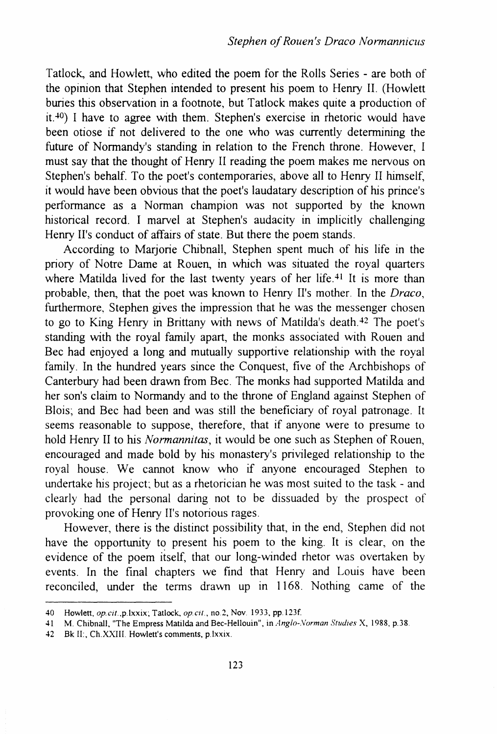Tatlock, and Howlett, who edited the poem for the Rolls Series - are both of the opinion that Stephen intended to present his poem to Henry II. (Howlett buries this observation in a footnote, but Tatlock makes quite a production of  $it.40$ ) I have to agree with them. Stephen's exercise in rhetoric would have been otiose if not delivered to the one who was currently determining the future of Normandy's standing in relation to the French throne. However, I must say that the thought of Henry II reading the poem makes me nervous on Stephen's behalf. To the poet's contemporaries, above all to Henry II himself, it would have been obvious that the poet's laudatary description of his prince's performance as a Norman champion was not supported by the known historical record. I marvel at Stephen's audacity in implicitly challenging Henry II's conduct of affairs of state. But there the poem stands.

According to Marjorie Chibnall, Stephen spent much of his life in the priory of Notre Dame at Rouen, in which was situated the royal quarters where Matilda lived for the last twenty years of her life.<sup>41</sup> It is more than probable, then, that the poet was known to Henry II's mother. In the *Draco,*  furthermore, Stephen gives the impression that he was the messenger chosen to go to King Henry in Brittany with news of Matilda's death.<sup>42</sup> The poet's standing with the royal family apart, the monks associated with Rouen and Bee had enjoyed a long and mutually supportive relationship with the royal family. In the hundred years since the Conquest, five of the Archbishops of Canterbury had been drawn from Bee. The monks had supported Matilda and her son's claim to Normandy and to the throne of England against Stephen of Blois; and Bee had been and was still the beneficiary of royal patronage. It seems reasonable to suppose, therefore, that if anyone were to presume to hold Henry II to his *Normannitas,* it would be one such as Stephen of Rouen, encouraged and made bold by his monastery's privileged relationship to the royal house. We cannot know who if anyone encouraged Stephen to undertake his project; but as a rhetorician he was most suited to the task - and clearly had the personal daring not to be dissuaded by the prospect of provoking one of Henry II's notorious rages.

However, there is the distinct possibility that, in the end, Stephen did not have the opportunity to present his poem to the king. It is clear, on the evidence of the poem itself, that our long-winded rhetor was overtaken by events. In the fmal chapters we find that Henry and Louis have been reconciled, under the terms drawn up in 1168. Nothing came of the

<sup>40</sup> Howlett, op.cil.,p.lxxix; Tatlock, *op.cit.,* no.2, Nov. 1933, pp.l23f.

<sup>41</sup> M. Chibnall, "The Empress Matilda and Bec-Hellouin", in *Anglo-Norman Studies* X, 1988, p.38.

<sup>42</sup> Bk 11:, Ch.XXIII. Howlett's comments, p.lxxix.